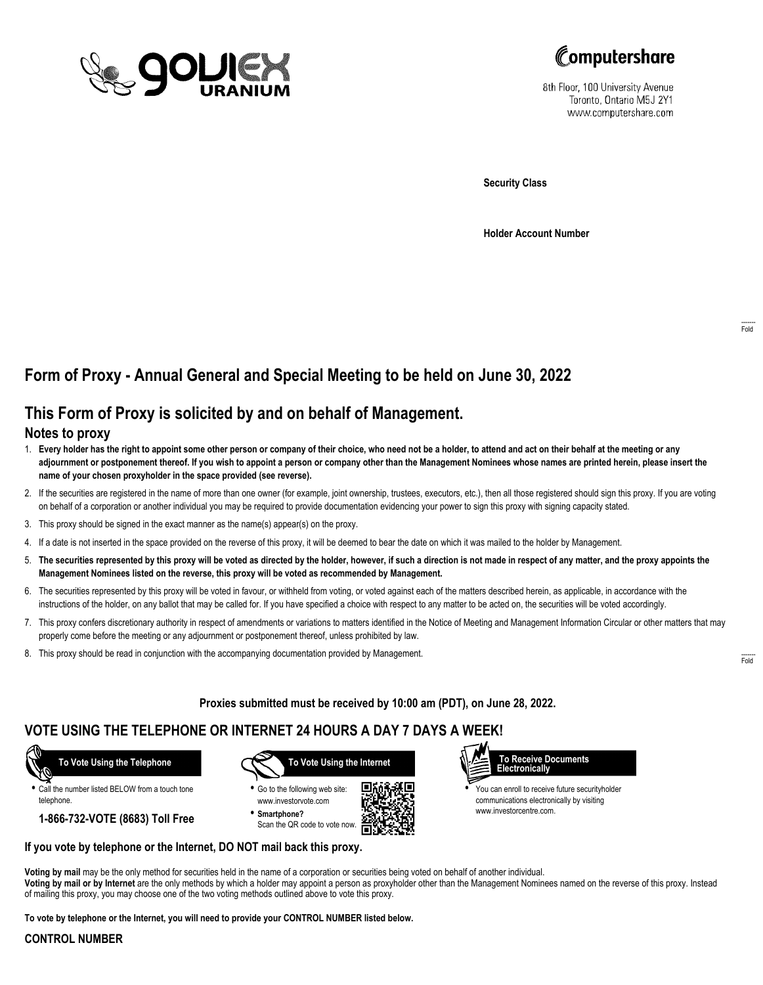



8th Floor, 100 University Avenue Toronto, Ontario M5J 2Y1 www.computershare.com

**Security Class**

**Holder Account Number**

# **Form of Proxy - Annual General and Special Meeting to be held on June 30, 2022**

## **This Form of Proxy is solicited by and on behalf of Management.**

### **Notes to proxy**

- 1. **Every holder has the right to appoint some other person or company of their choice, who need not be a holder, to attend and act on their behalf at the meeting or any adjournment or postponement thereof. If you wish to appoint a person or company other than the Management Nominees whose names are printed herein, please insert the name of your chosen proxyholder in the space provided (see reverse).**
- 2. If the securities are registered in the name of more than one owner (for example, joint ownership, trustees, executors, etc.), then all those registered should sign this proxy. If you are voting on behalf of a corporation or another individual you may be required to provide documentation evidencing your power to sign this proxy with signing capacity stated.
- 3. This proxy should be signed in the exact manner as the name(s) appear(s) on the proxy.
- 4. If a date is not inserted in the space provided on the reverse of this proxy, it will be deemed to bear the date on which it was mailed to the holder by Management.
- 5. **The securities represented by this proxy will be voted as directed by the holder, however, if such a direction is not made in respect of any matter, and the proxy appoints the Management Nominees listed on the reverse, this proxy will be voted as recommended by Management.**
- 6. The securities represented by this proxy will be voted in favour, or withheld from voting, or voted against each of the matters described herein, as applicable, in accordance with the instructions of the holder, on any ballot that may be called for. If you have specified a choice with respect to any matter to be acted on, the securities will be voted accordingly.
- 7. This proxy confers discretionary authority in respect of amendments or variations to matters identified in the Notice of Meeting and Management Information Circular or other matters that may properly come before the meeting or any adjournment or postponement thereof, unless prohibited by law.
- 8. This proxy should be read in conjunction with the accompanying documentation provided by Management.

**Proxies submitted must be received by 10:00 am (PDT), on June 28, 2022.**

г

## **VOTE USING THE TELEPHONE OR INTERNET 24 HOURS A DAY 7 DAYS A WEEK!**



**•** Call the number listed BELOW from a touch tone telephone.

**1-866-732-VOTE (8683) Toll Free**



**•** Go to the following web site: www.investorvote.com **• Smartphone?**

Scan the QR code to vote now.





**•** You can enroll to receive future securityholder communications electronically by visiting www.investorcentre.com.

#### **If you vote by telephone or the Internet, DO NOT mail back this proxy.**

**Voting by mail** may be the only method for securities held in the name of a corporation or securities being voted on behalf of another individual. **Voting by mail or by Internet** are the only methods by which a holder may appoint a person as proxyholder other than the Management Nominees named on the reverse of this proxy. Instead of mailing this proxy, you may choose one of the two voting methods outlined above to vote this proxy.

**To vote by telephone or the Internet, you will need to provide your CONTROL NUMBER listed below.**

#### **CONTROL NUMBER**